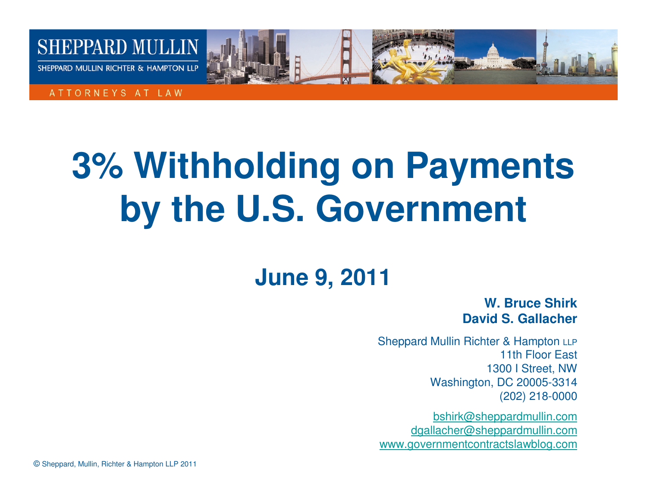

ATTORNEYS AT LAW

# **3% Withholding on Payments by the U.S. Government**

## **June 9, 2011**

**W. Bruce ShirkDavid S. Gallacher**

Sheppard Mullin Richter & Hampton LLP 11th Floor East 1300 I Street, NW Washington, DC 20005-3314(202) 218-0000

bshirk@sheppardmullin.com dgallacher@sheppardmullin.comwww.governmentcontractslawblog.com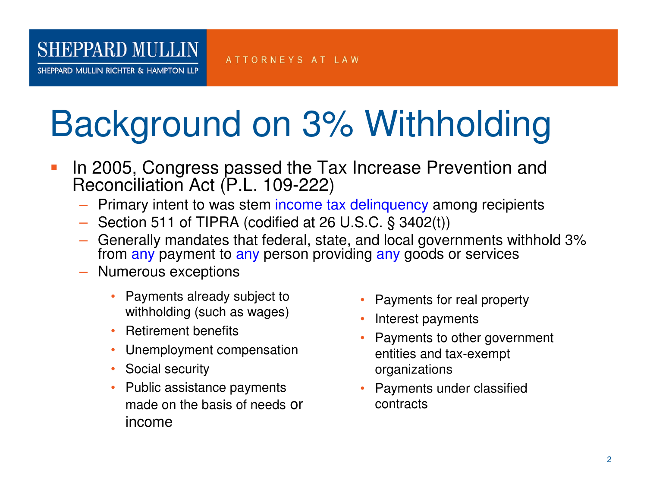SHEPPARD MULLIN RICHTER & HAMPTON LLP

#### ATTORNEYS AT LAW

# Background on 3% Withholding

- T. In 2005, Congress passed the Tax Increase Prevention and Reconciliation Act (P.L. 109-222)
	- Primary intent to was stem income tax delinquency among recipients
	- Section 511 of TIPRA (codified at 26 U.S.C. § 3402(t))
	- Generally mandates that federal, state, and local governments withhold 3% from <mark>any</mark> payment to <mark>any</mark> person providing <mark>any</mark> goods or services
	- Numerous exceptions
		- Payments already subject to withholding (such as wages)
		- Retirement benefits
		- •Unemployment compensation
		- Social security
		- Public assistance payments made on the basis of needs or income
- •Payments for real property
- Interest payments
- • Payments to other government entities and tax-exempt organizations
- Payments under classified contracts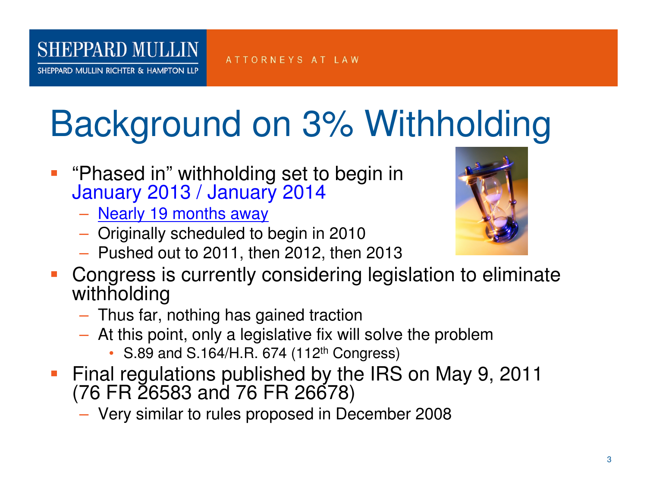SHEPPARD MULLIN RICHTER & HAMPTON LLP

### ATTORNEYS AT LAW

# Background on 3% Withholding

- **Contract Contract Contract Contract Contract Contract Contract Contract Contract Contract Contract Contract C**  "Phased in" withholding set to begin in January 2013 / January 2014
	- <u>Nearly 19 months away</u>
	- Originally scheduled to begin in 2010
	- Pushed out to 2011, then 2012, then 2013
- **Congress is currently considering legislation to eliminate** withholding
	- $-$  Thue tor - Thus far, nothing has gained traction
	- At this point, only a legislative fix will solve the problem
		- S.89 and S.164/H.R. 674 (112<sup>th</sup> Congress)
- • Final regulations published by the IRS on May 9, 2011 (76 FR 26583 and 76 FR 26678)

 $-$  Very similar to rules proposed in December 2008

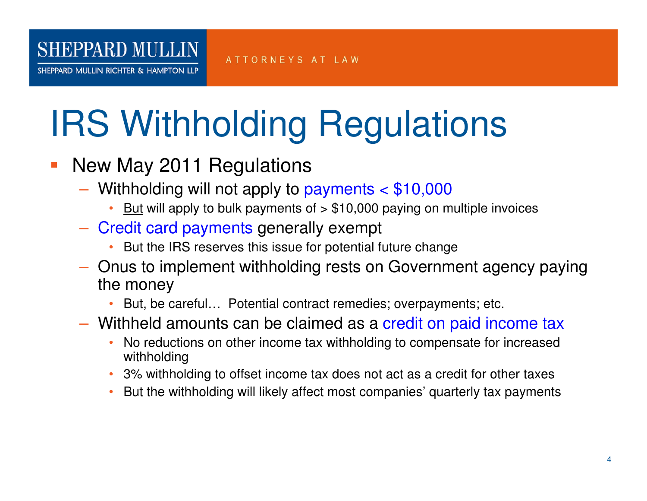#### **SHEPPARD MULLIN** ATTORNEYS AT LAW

SHEPPARD MULLIN RICHTER & HAMPTON LLP

# IRS Withholding Regulations

- New May 2011 Regulations
	- $-$  Withholding will not apply to payments  $<$  \$10,000
		- $\frac{\text{But}}{\text{But}}$  will apply to bulk payments of  $> $10,000$  paying on multiple invoices
	- Credit card payments generally exempt
		- But the IRS reserves this issue for potential future change
	- Onus to implement withholding rests on Government agency paying the money
		- But, be careful… Potential contract remedies; overpayments; etc. •
	- Withheld amounts can be claimed as a credit on paid income tax
		- • No reductions on other income tax withholding to compensate for increased withholding
		- 3% withholding to offset income tax does not act as a credit for other taxes•
		- But the withholding will likely affect most companies' quarterly tax payments•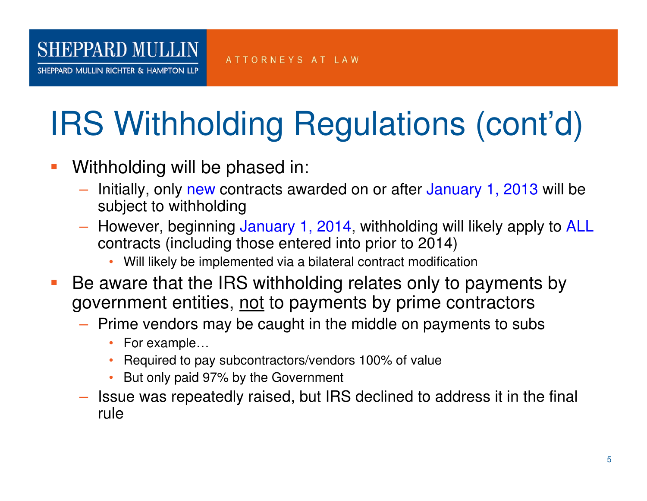# IRS Withholding Regulations (cont'd)

T. Withholding will be phased in:

**SHEPPARD MULLIN** 

SHEPPARD MULLIN RICHTER & HAMPTON LLP

- Initially, only new contracts awarded on or after January 1, 2013 will be subject to withholding
- However, beginning January 1, 2014, withholding will likely apply to ALL contracts (including those entered into prior to 2014)
	- Will likely be implemented via a bilateral contract modification
- **Service Service**  Be aware that the IRS withholding relates only to payments by government entities, <u>not</u> to payments by prime contractors
	- Prime vendors may be caught in the middle on payments to subs
		- For example...
		- Required to pay subcontractors/vendors 100% of value •
		- But only paid 97% by the Government
	- Issue was repeatedly raised, but IRS declined to address it in the final rule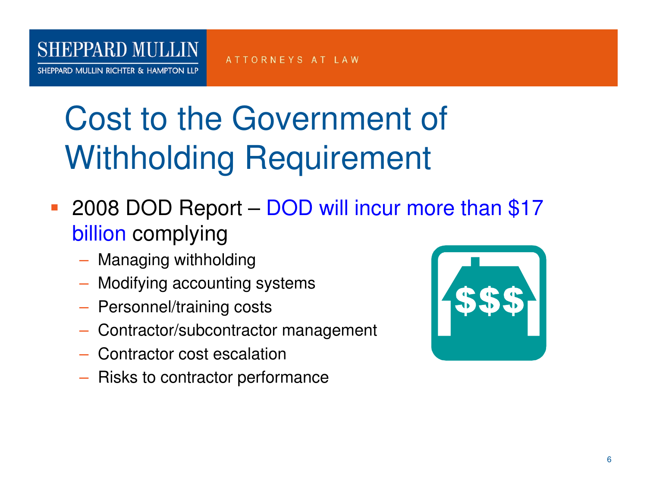SHEPPARD MULLIN RICHTER & HAMPTON LLP

ATTORNEYS AT LAW

# Cost to the Government of Withholding Requirement

- **Service Service 2008 DOD Report – DOD will incur more than \$17** <mark>billion</mark> complying
	- $-$  Managing withholding
	- $-$  Modifying accounting systems
	- Personnel/training costs
	- Contractor/subcontractor management
	- Contractor cost escalation
	- $-$  Risks to contractor performance

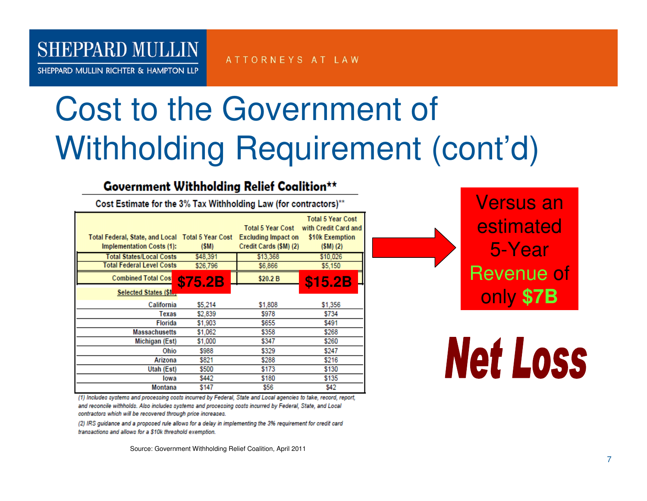SHEPPARD MULLIN RICHTER & HAMPTON LLP

ATTORNEYS AT LAW

# Cost to the Government of Withholding Requirement (cont'd)

### **Government Withholding Relief Coalition\*\***

Cost Estimate for the 3% Tax Withholding Law (for contractors)\*\*

| Total Federal, State, and Local Total 5 Year Cost<br><b>Implementation Costs (1):</b><br><b>Total States/Local Costs</b><br><b>Total Federal Level Costs</b><br><b>Combined Total Cos</b><br>Selected States (\$1., | (SM)<br>\$48,391<br>\$26,796<br><b>\$75.2B</b> | <b>Total 5 Year Cost</b><br><b>Excluding Impact on</b><br>Credit Cards (\$M) (2)<br>\$13,368<br>\$6,866<br>\$20.2 B | <b>Total 5 Year Cost</b><br>with Credit Card and<br>\$10k Exemption<br>$(SM)$ (2)<br>\$10,026<br>\$5,150<br>\$15.2B |
|---------------------------------------------------------------------------------------------------------------------------------------------------------------------------------------------------------------------|------------------------------------------------|---------------------------------------------------------------------------------------------------------------------|---------------------------------------------------------------------------------------------------------------------|
| California                                                                                                                                                                                                          | \$5,214                                        | \$1,808                                                                                                             | \$1,356                                                                                                             |
| Texas                                                                                                                                                                                                               | \$2,839                                        | \$978                                                                                                               | \$734                                                                                                               |
| <b>Florida</b>                                                                                                                                                                                                      | \$1,903                                        | \$655                                                                                                               | \$491                                                                                                               |
| <b>Massachusetts</b>                                                                                                                                                                                                | \$1,062                                        | \$358                                                                                                               | \$268                                                                                                               |
| Michigan (Est)                                                                                                                                                                                                      | \$1,000                                        | \$347                                                                                                               | \$260                                                                                                               |
| Ohio                                                                                                                                                                                                                | \$988                                          | \$329                                                                                                               | \$247                                                                                                               |
| Arizona                                                                                                                                                                                                             | \$821                                          | \$288                                                                                                               | \$216                                                                                                               |
| Utah (Est)                                                                                                                                                                                                          | \$500                                          | \$173                                                                                                               | \$130                                                                                                               |
| lowa                                                                                                                                                                                                                | \$442                                          | \$180                                                                                                               | \$135                                                                                                               |
| Montana                                                                                                                                                                                                             | \$147                                          | \$56                                                                                                                | \$42                                                                                                                |

(1) Includes systems and processing costs incurred by Federal, State and Local agencies to take, record, report, and reconcile withholds. Also includes systems and processing costs incurred by Federal, State, and Local contractors which will be recovered through price increases.

(2) IRS quidance and a proposed rule allows for a delay in implementing the 3% requirement for credit card transactions and allows for a \$10k threshold exemption.

Source: Government Withholding Relief Coalition, April 2011



**Net Loss**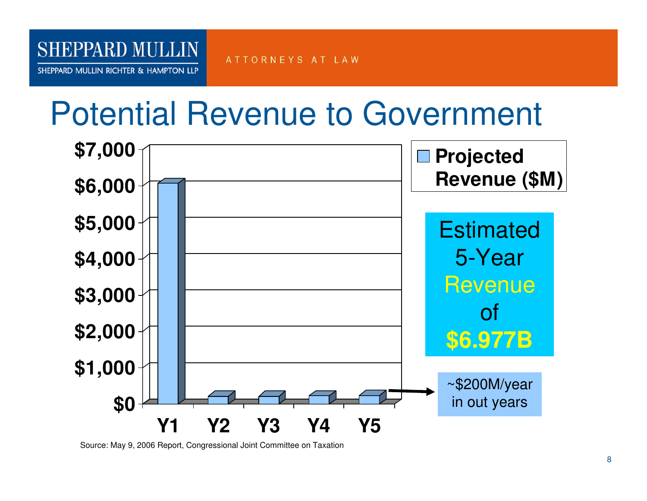### ATTORNEYS AT LAW

SHEPPARD MULLIN RICHTER & HAMPTON LLP

**SHEPPARD MULLIN** 

## Potential Revenue to Government



Source: May 9, 2006 Report, Congressional Joint Committee on Taxation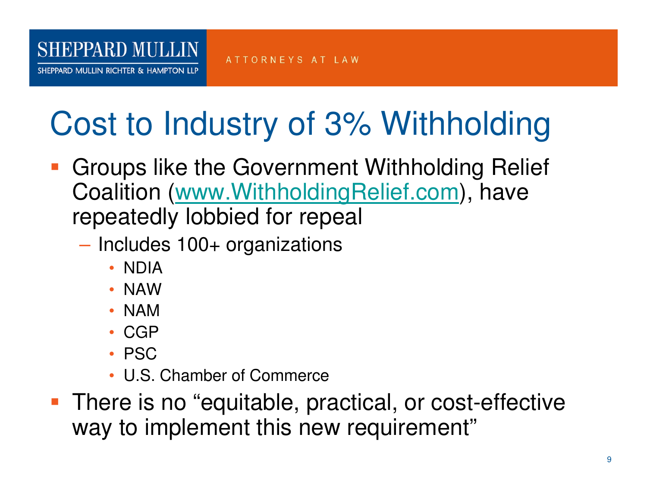SHEPPARD MULLIN RICHTER & HAMPTON LLP

### ATTORNEYS AT LAW

# Cost to Industry of 3% Withholding

- **Contract Contract Contract Contract Contract Contract Contract Contract Contract Contract Contract Contract C**  Groups like the Government Withholding Relief Coalition (www.WithholdingRelief.com), have repeatedly lobbied for repeal
	- **However the Company**  Includes 100+ organizations
		- NDIA
		- NAW
		- NAM
		- CGP
		- PSC
		- U.S. Chamber of Commerce
- **There is no "equitable, practical, or cost-effective** way to implement this new requirement"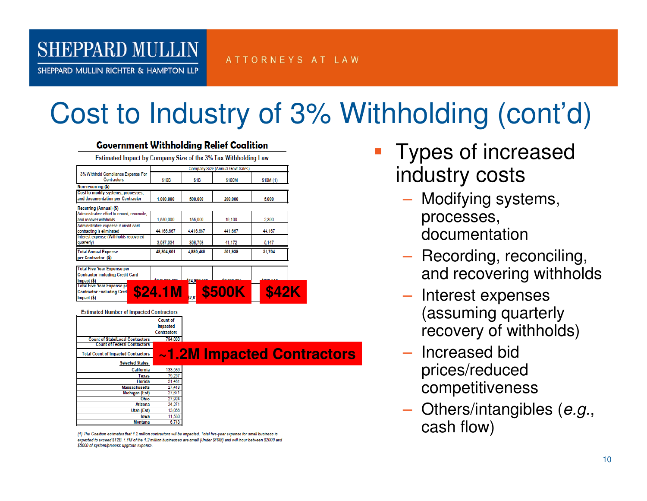### ATTORNEYS AT LAW

SHEPPARD MULLIN RICHTER & HAMPTON LLP

**SHEPPARD MULLIN** 

## Cost to Industry of 3% Withholding (cont'd)

| <b>Government Withholding Relief Coalition</b>                         |                    |           |                                  |                            |  |
|------------------------------------------------------------------------|--------------------|-----------|----------------------------------|----------------------------|--|
| Estimated Impact by Company Size of the 3% Tax Withholding Law         |                    |           |                                  |                            |  |
|                                                                        |                    |           | Company Size (Annual Govt Sales) |                            |  |
| 3% Withhold Compliance Expense For<br>Contractors                      | <b>S10B</b>        | \$1B      | \$100M                           | \$10M (1)                  |  |
| Non-recurring (\$)                                                     |                    |           |                                  |                            |  |
| Cost to modify systems, processes,<br>and documentation per Contractor | 1.000.000          | 500,000   | 200,000                          | 5.000                      |  |
| Recurring (Annual) (\$)                                                |                    |           |                                  |                            |  |
| Administrative effort to record, reconcile,<br>and recover withholds   | 1,550,000          | 155,000   | 19,100                           | 2,390                      |  |
| Administrative expense if credit card<br>contracting is eliminated     | 44.166.667         | 4.416.667 | 441.667                          | 44.167                     |  |
| Interest expense (Withholds recovered<br>quarterly)                    | 3.087.934          | 308.793   | 41,172                           | 5,147                      |  |
| <b>Total Annual Expense</b><br>per Contractor (\$)                     | 48,804,601         | 4,880,460 | 501.939                          | 51.704                     |  |
| Import(5)<br><b>Estimated Number of Impacted Contractors</b>           | $$24.1M_{2.81}$    |           |                                  |                            |  |
|                                                                        | <b>Count of</b>    |           |                                  |                            |  |
|                                                                        | <b>Impacted</b>    |           |                                  |                            |  |
|                                                                        | <b>Contractors</b> |           |                                  |                            |  |
| <b>Count of State/Local Contractors</b>                                | 794,000            |           |                                  |                            |  |
| <b>Count of Federal Contractors</b>                                    |                    |           |                                  |                            |  |
| <b>Total Count of Impacted Contractors</b>                             |                    |           |                                  | ~1.2M Impacted Contractors |  |
| <b>Selected States</b>                                                 |                    |           |                                  |                            |  |
| California                                                             | 133,536            |           |                                  |                            |  |
| Texas<br><b>Florida</b>                                                | 75,267             |           |                                  |                            |  |
| <b>Massachusetts</b>                                                   | 51,461<br>27,418   |           |                                  |                            |  |
| Michigan (Est)                                                         | 27.671             |           |                                  |                            |  |
| Ohio                                                                   | 27,924             |           |                                  |                            |  |
| <b>Arizona</b>                                                         | 24.271             |           |                                  |                            |  |
| Utah (Est)                                                             | 13,056             |           |                                  |                            |  |
| lowa                                                                   | 11,530             |           |                                  |                            |  |
| Montana                                                                | 6.743              |           |                                  |                            |  |

(1) The Coalition estimates that 1.2 million contractors will be impacted. Total five-year expense for small business is expected to exceed \$12B. 1.1M of the 1.2 million businesses are small (Under \$10M) and will incur between \$2000 and \$5000 of system/process upgrade expense.

- **Types of increased** industry costs
	- Modifying systems, processes, documentation
	- **Recording, reconciling,** and recovering withholds
	- Interest expenses (assuming quarterly recovery of withholds)
	- Increased bid prices/reduced competitiveness
	- $-$  Others/intangibles (e.g., cash flow)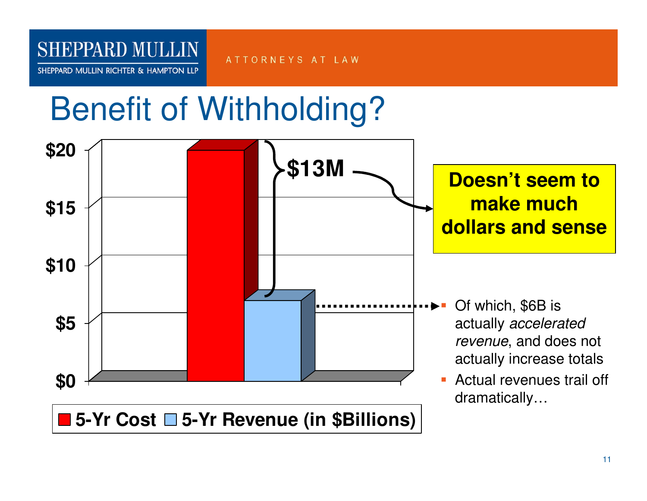SHEPPARD MULLIN RICHTER & HAMPTON LLP

ATTORNEYS AT LAW

# Benefit of Withholding?

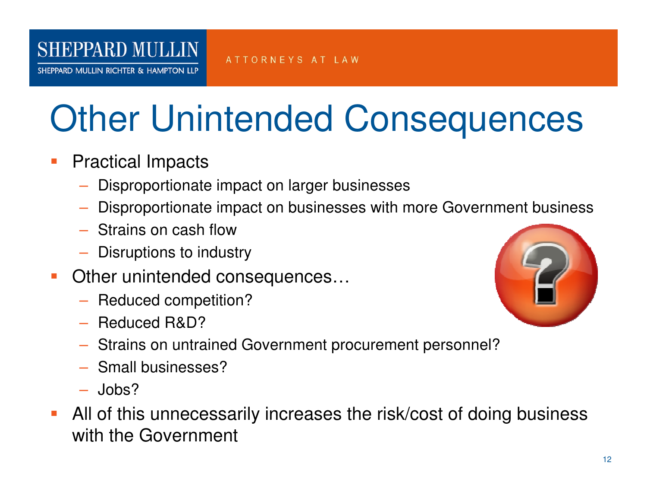SHEPPARD MULLIN RICHTER & HAMPTON LLP

# Other Unintended Consequences

ATTORNEYS AT LAW

- T. Practical Impacts
	- Disproportionate impact on larger businesses
	- $-$  Disproportionate impact on businesses with more Government business
	- $-$  Strains on cash flow
	- Disruptions to industry
- T. Other unintended consequences…
	- Reduced competition?
	- Reduced R&D?
- 
- Strains on untrained Government procurement personnel?
- Small businesses?
- Jobs?
- T. All of this unnecessarily increases the risk/cost of doing business with the Government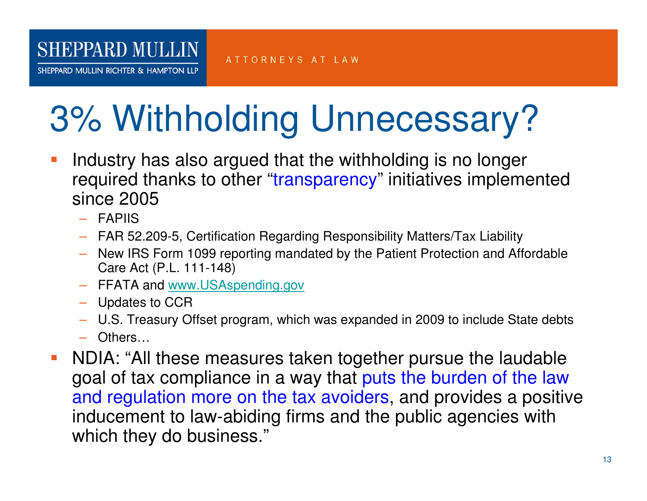SHEPPARD MULLIN RICHTER & HAMPTON LLP

# 3% Withholding Unnecessary?

- Industry has also argued that the withholding is no longer **Service Service** required thanks to other "transparency" initiatives implemented since 2005
	- FAPIIS
	- FAR 52.209-5, Certification Regarding Responsibility Matters/Tax Liability
	- New IRS Form 1099 reporting mandated by the Patient Protection and Affordable Care Act (P.L. 111-148)
	- FFATA and <u>www.USAspending.gov</u>
	- Updates to CCR
	- U.S. Treasury Offset program, which was expanded in 2009 to include State debts
	- Others…
- NDIA: "All these measures taken together pursue the laudable  $\mathcal{L}^{\text{eff}}$ goal of tax compliance in a way that puts the burden of the law and regulation more on the tax avoiders, and provides a positive inducement to law-abiding firms and the public agencies with which they do business."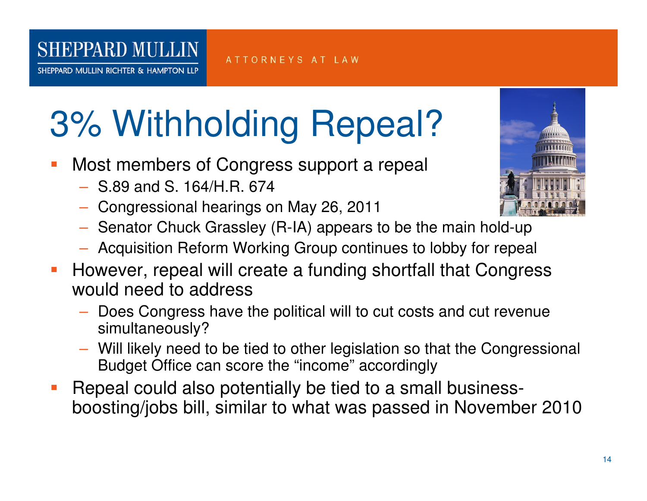SHEPPARD MULLIN RICHTER & HAMPTON LLP

# 3% Withholding Repeal?

- **Most members of Congress support a repeal Service Service** 
	- S.89 and S. 164/H.R. 674
	- Congressional hearings on May 26, 2011
	- $-$  Senator Chuck Grassley (R-IA) appears to be the main hold-up
	- $-$  Acquisition Reform Working Group continues to lobby for repeal
- **Service Service**  However, repeal will create a funding shortfall that Congress would need to address
	- Does Congress have the political will to cut costs and cut revenue simultaneously?
	- Will likely need to be tied to other legislation so that the Congressional Budget Office can score the "income" accordingly
- **Repeal could also potentially be tied to a small business-**T. boosting/jobs bill, similar to what was passed in November 2010